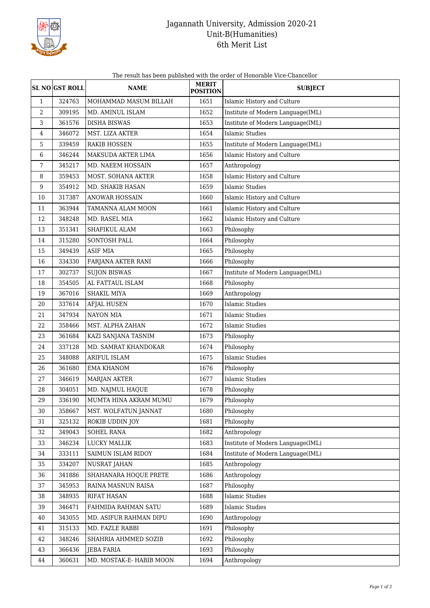

## Jagannath University, Admission 2020-21 Unit-B(Humanities) 6th Merit List

The result has been published with the order of Honorable Vice-Chancellor

|                  | <b>SL NO GST ROLL</b> | <b>NAME</b>             | <b>MERIT</b><br><b>POSITION</b> | <b>SUBJECT</b>                    |
|------------------|-----------------------|-------------------------|---------------------------------|-----------------------------------|
| $\mathbf{1}$     | 324763                | MOHAMMAD MASUM BILLAH   | 1651                            | Islamic History and Culture       |
| $\overline{2}$   | 309195                | MD. AMINUL ISLAM        | 1652                            | Institute of Modern Language(IML) |
| 3                | 361576                | <b>DISHA BISWAS</b>     | 1653                            | Institute of Modern Language(IML) |
| $\overline{4}$   | 346072                | MST. LIZA AKTER         | 1654                            | Islamic Studies                   |
| 5                | 339459                | <b>RAKIB HOSSEN</b>     | 1655                            | Institute of Modern Language(IML) |
| 6                | 346244                | MAKSUDA AKTER LIMA      | 1656                            | Islamic History and Culture       |
| 7                | 345217                | MD. NAEEM HOSSAIN       | 1657                            | Anthropology                      |
| 8                | 359453                | MOST. SOHANA AKTER      | 1658                            | Islamic History and Culture       |
| $\boldsymbol{9}$ | 354912                | MD. SHAKIB HASAN        | 1659                            | <b>Islamic Studies</b>            |
| 10               | 317387                | <b>ANOWAR HOSSAIN</b>   | 1660                            | Islamic History and Culture       |
| 11               | 363944                | TAMANNA ALAM MOON       | 1661                            | Islamic History and Culture       |
| 12               | 348248                | MD. RASEL MIA           | 1662                            | Islamic History and Culture       |
| 13               | 351341                | SHAFIKUL ALAM           | 1663                            | Philosophy                        |
| 14               | 315280                | SONTOSH PALL            | 1664                            | Philosophy                        |
| 15               | 349439                | <b>ASIF MIA</b>         | 1665                            | Philosophy                        |
| 16               | 334330                | FARJANA AKTER RANI      | 1666                            | Philosophy                        |
| 17               | 302737                | <b>SUJON BISWAS</b>     | 1667                            | Institute of Modern Language(IML) |
| 18               | 354505                | AL FATTAUL ISLAM        | 1668                            | Philosophy                        |
| 19               | 367016                | SHAKIL MIYA             | 1669                            | Anthropology                      |
| 20               | 337614                | <b>AFJAL HUSEN</b>      | 1670                            | <b>Islamic Studies</b>            |
| 21               | 347934                | NAYON MIA               | 1671                            | <b>Islamic Studies</b>            |
| 22               | 358466                | MST. ALPHA ZAHAN        | 1672                            | <b>Islamic Studies</b>            |
| 23               | 361684                | KAZI SANJANA TASNIM     | 1673                            | Philosophy                        |
| 24               | 337128                | MD. SAMRAT KHANDOKAR    | 1674                            | Philosophy                        |
| 25               | 348088                | ARIFUL ISLAM            | 1675                            | <b>Islamic Studies</b>            |
| 26               | 361680                | <b>EMA KHANOM</b>       | 1676                            | Philosophy                        |
| 27               | 346619                | <b>MARJAN AKTER</b>     | 1677                            | <b>Islamic Studies</b>            |
| 28               | 304051                | MD. NAJMUL HAQUE        | 1678                            | Philosophy                        |
| 29               | 336190                | MUMTA HINA AKRAM MUMU   | 1679                            | Philosophy                        |
| 30               | 358667                | MST. WOLFATUN JANNAT    | 1680                            | Philosophy                        |
| 31               | 325132                | ROKIB UDDIN JOY         | 1681                            | Philosophy                        |
| 32               | 349043                | SOHEL RANA              | 1682                            | Anthropology                      |
| 33               | 346234                | LUCKY MALLIK            | 1683                            | Institute of Modern Language(IML) |
| 34               | 333111                | SAIMUN ISLAM RIDOY      | 1684                            | Institute of Modern Language(IML) |
| 35               | 334207                | NUSRAT JAHAN            | 1685                            | Anthropology                      |
| 36               | 341886                | SHAHANARA HOQUE PRETE   | 1686                            | Anthropology                      |
| 37               | 345953                | RAINA MASNUN RAISA      | 1687                            | Philosophy                        |
| 38               | 348935                | RIFAT HASAN             | 1688                            | <b>Islamic Studies</b>            |
| 39               | 346471                | FAHMIDA RAHMAN SATU     | 1689                            | <b>Islamic Studies</b>            |
| 40               | 343055                | MD. ASIFUR RAHMAN DIPU  | 1690                            | Anthropology                      |
| 41               | 315133                | MD. FAZLE RABBI         | 1691                            | Philosophy                        |
| 42               | 348246                | SHAHRIA AHMMED SOZIB    | 1692                            | Philosophy                        |
| 43               | 366436                | <b>JEBA FARIA</b>       | 1693                            | Philosophy                        |
| 44               | 360631                | MD. MOSTAK-E-HABIB MOON | 1694                            | Anthropology                      |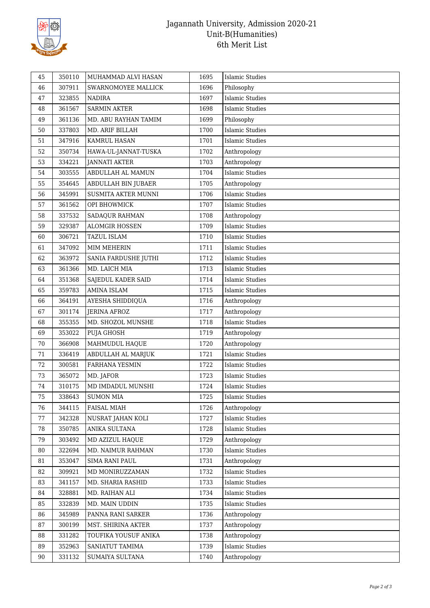

## Jagannath University, Admission 2020-21 Unit-B(Humanities) 6th Merit List

| 45 | 350110 | MUHAMMAD ALVI HASAN   | 1695 | <b>Islamic Studies</b> |
|----|--------|-----------------------|------|------------------------|
| 46 | 307911 | SWARNOMOYEE MALLICK   | 1696 | Philosophy             |
| 47 | 323855 | <b>NADIRA</b>         | 1697 | <b>Islamic Studies</b> |
| 48 | 361567 | <b>SARMIN AKTER</b>   | 1698 | <b>Islamic Studies</b> |
| 49 | 361136 | MD. ABU RAYHAN TAMIM  | 1699 | Philosophy             |
| 50 | 337803 | MD. ARIF BILLAH       | 1700 | <b>Islamic Studies</b> |
| 51 | 347916 | KAMRUL HASAN          | 1701 | <b>Islamic Studies</b> |
| 52 | 350734 | HAWA-UL-JANNAT-TUSKA  | 1702 | Anthropology           |
| 53 | 334221 | <b>JANNATI AKTER</b>  | 1703 | Anthropology           |
| 54 | 303555 | ABDULLAH AL MAMUN     | 1704 | <b>Islamic Studies</b> |
| 55 | 354645 | ABDULLAH BIN JUBAER   | 1705 | Anthropology           |
| 56 | 345991 | SUSMITA AKTER MUNNI   | 1706 | <b>Islamic Studies</b> |
| 57 | 361562 | OPI BHOWMICK          | 1707 | <b>Islamic Studies</b> |
| 58 | 337532 | SADAQUR RAHMAN        | 1708 | Anthropology           |
| 59 | 329387 | <b>ALOMGIR HOSSEN</b> | 1709 | <b>Islamic Studies</b> |
| 60 | 306721 | TAZUL ISLAM           | 1710 | <b>Islamic Studies</b> |
| 61 | 347092 | MIM MEHERIN           | 1711 | <b>Islamic Studies</b> |
| 62 | 363972 | SANIA FARDUSHE JUTHI  | 1712 | <b>Islamic Studies</b> |
| 63 | 361366 | MD. LAICH MIA         | 1713 | <b>Islamic Studies</b> |
| 64 | 351368 | SAJEDUL KADER SAID    | 1714 | <b>Islamic Studies</b> |
| 65 | 359783 | <b>AMINA ISLAM</b>    | 1715 | <b>Islamic Studies</b> |
| 66 | 364191 | AYESHA SHIDDIQUA      | 1716 | Anthropology           |
| 67 | 301174 | <b>JERINA AFROZ</b>   | 1717 | Anthropology           |
| 68 | 355355 | MD. SHOZOL MUNSHE     | 1718 | <b>Islamic Studies</b> |
| 69 | 353022 | PUJA GHOSH            | 1719 | Anthropology           |
| 70 | 366908 | MAHMUDUL HAQUE        | 1720 | Anthropology           |
| 71 | 336419 | ABDULLAH AL MARJUK    | 1721 | <b>Islamic Studies</b> |
| 72 | 300581 | FARHANA YESMIN        | 1722 | <b>Islamic Studies</b> |
| 73 | 365072 | MD. JAFOR             | 1723 | <b>Islamic Studies</b> |
| 74 | 310175 | MD IMDADUL MUNSHI     | 1724 | <b>Islamic Studies</b> |
| 75 | 338643 | <b>SUMON MIA</b>      | 1725 | <b>Islamic Studies</b> |
| 76 | 344115 | FAISAL MIAH           | 1726 | Anthropology           |
| 77 | 342328 | NUSRAT JAHAN KOLI     | 1727 | <b>Islamic Studies</b> |
| 78 | 350785 | ANIKA SULTANA         | 1728 | <b>Islamic Studies</b> |
| 79 | 303492 | MD AZIZUL HAQUE       | 1729 | Anthropology           |
| 80 | 322694 | MD. NAIMUR RAHMAN     | 1730 | <b>Islamic Studies</b> |
| 81 | 353047 | SIMA RANI PAUL        | 1731 | Anthropology           |
| 82 | 309921 | MD MONIRUZZAMAN       | 1732 | <b>Islamic Studies</b> |
| 83 | 341157 | MD. SHARIA RASHID     | 1733 | <b>Islamic Studies</b> |
| 84 | 328881 | MD. RAIHAN ALI        | 1734 | <b>Islamic Studies</b> |
| 85 | 332839 | MD. MAIN UDDIN        | 1735 | <b>Islamic Studies</b> |
| 86 | 345989 | PANNA RANI SARKER     | 1736 | Anthropology           |
| 87 | 300199 | MST. SHIRINA AKTER    | 1737 | Anthropology           |
| 88 | 331282 | TOUFIKA YOUSUF ANIKA  | 1738 | Anthropology           |
| 89 | 352963 | SANIATUT TAMIMA       | 1739 | <b>Islamic Studies</b> |
| 90 | 331132 | SUMAIYA SULTANA       | 1740 | Anthropology           |